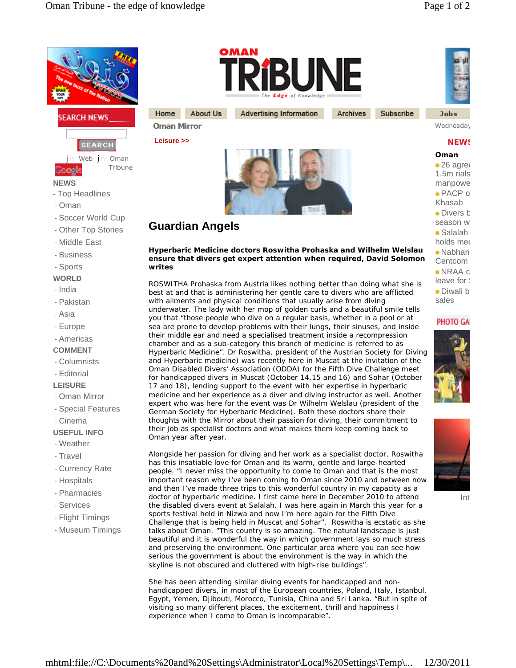



in Web in Oman Tribune

**NEWS**

- Top Headlines
- Oman
- Soccer World Cup
- Other Top Stories
- Middle East
- Business
- Sports
- **WORLD**
- India
- Pakistan
- Asia
- Europe
- Americas

## **COMMENT**

- Columnists
- Editorial
- **LEISURE**
- Oman Mirror
- Special Features
- Cinema

## **USEFUL INFO**

- Weather
- Travel
- Currency Rate
- Hospitals
- Pharmacies
- Services
- Flight Timings
- Museum Timings



Advertising Information

Archives Subscribe **Jobs** 

## **NEWS**

**Oman**  $-26$  agree  $1.5<sub>m</sub>$  rials manpowe  $PACP$  o Khasab  $\blacksquare$  Divers b season w  $\blacksquare$  Salalah holds mee Nabhani Centcom  $NRAA$  c  $leave for  $\frac{1}{2}$$  $\n **Divali**\n$ b sales

### **PHOTO GA**





Int

doctor of hyperbaric medicine. I first came here in December 2010 to attend the disabled divers event at Salalah. I was here again in March this year for a sports festival held in Nizwa and now I'm here again for the Fifth Dive Challenge that is being held in Muscat and Sohar". Roswitha is ecstatic as she talks about Oman. "This country is so amazing. The natural landscape is just beautiful and it is wonderful the way in which government lays so much stress and preserving the environment. One particular area where you can see how serious the government is about the environment is the way in which the skyline is not obscured and cluttered with high-rise buildings".

She has been attending similar diving events for handicapped and nonhandicapped divers, in most of the European countries, Poland, Italy, Istanbul, Egypt, Yemen, Djibouti, Morocco, Tunisia, China and Sri Lanka. "But in spite of visiting so many different places, the excitement, thrill and happiness I experience when I come to Oman is incomparable".



**Oman Mirror** Wednesday, Oman Mirror 26, 2008, 2009, 2009, 2009, 2009, 2009, 2009, 2009, 2009, 2009, 2009, 2009, 200 **Leisure >>** 

Home



# **Guardian Angels**

About Us

**Hyperbaric Medicine doctors Roswitha Prohaska and Wilhelm Welslau ensure that divers get expert attention when required, David Solomon writes**

ROSWITHA Prohaska from Austria likes nothing better than doing what she is best at and that is administering her gentle care to divers who are afflicted with ailments and physical conditions that usually arise from diving underwater. The lady with her mop of golden curls and a beautiful smile tells you that "those people who dive on a regular basis, whether in a pool or at sea are prone to develop problems with their lungs, their sinuses, and inside their middle ear and need a specialised treatment inside a recompression chamber and as a sub-category this branch of medicine is referred to as Hyperbaric Medicine". Dr Roswitha, president of the Austrian Society for Diving and Hyperbaric medicine) was recently here in Muscat at the invitation of the Oman Disabled Divers' Association (ODDA) for the Fifth Dive Challenge meet for handicapped divers in Muscat (October 14,15 and 16) and Sohar (October 17 and 18), lending support to the event with her expertise in hyperbaric medicine and her experience as a diver and diving instructor as well. Another expert who was here for the event was Dr Wilhelm Welslau (president of the German Society for Hyberbaric Medicine). Both these doctors share their thoughts with the Mirror about their passion for diving, their commitment to their job as specialist doctors and what makes them keep coming back to Oman year after year.

Alongside her passion for diving and her work as a specialist doctor, Roswitha has this insatiable love for Oman and its warm, gentle and large-hearted people. "I never miss the opportunity to come to Oman and that is the most important reason why I've been coming to Oman since 2010 and between now and then I've made three trips to this wonderful country in my capacity as a